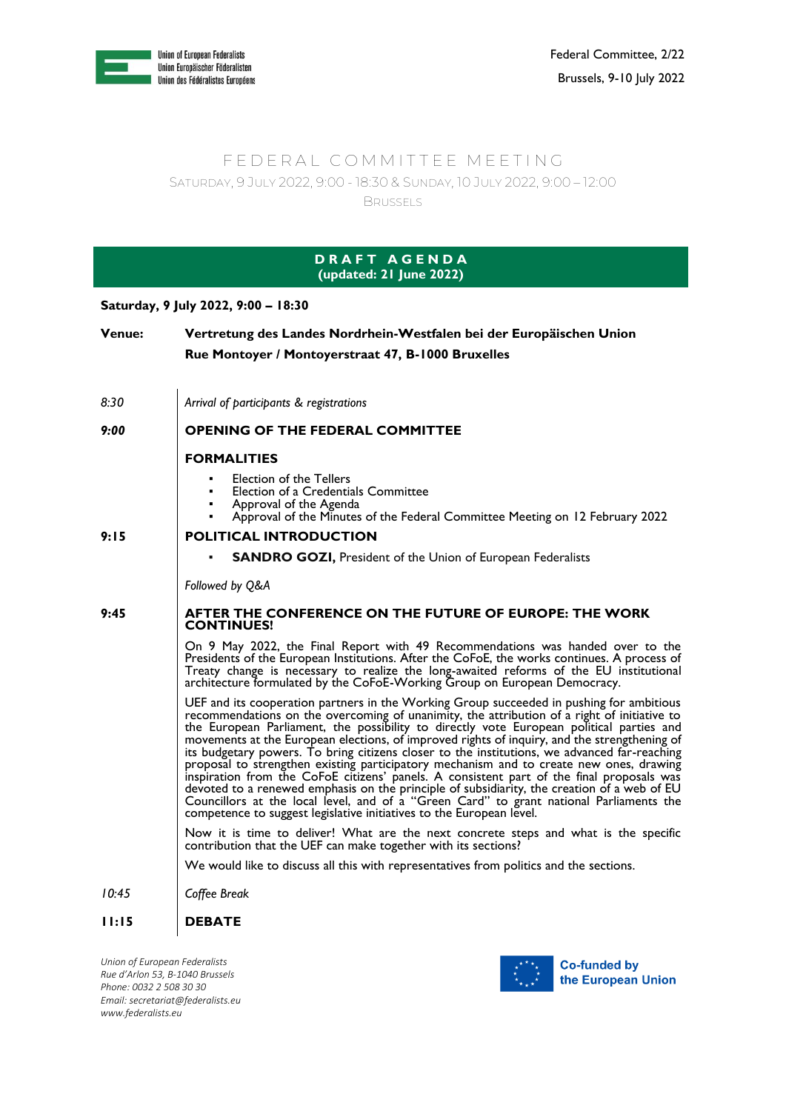

## FEDERAL COMMITTEE MEETING SATURDAY, 9 JULY 2022, 9:00 - 18:30 & SUNDAY, 10 JULY 2022, 9:00 – 12:00

**BRUSSELS** 

| <b>DRAFT AGENDA</b><br>(updated: 21 June 2022) |                                                                                                                                                                                                                                                                                                                                                                                                                                                                                                                                                                                                                                                                                                                                                                                                                                                                                                                                               |  |
|------------------------------------------------|-----------------------------------------------------------------------------------------------------------------------------------------------------------------------------------------------------------------------------------------------------------------------------------------------------------------------------------------------------------------------------------------------------------------------------------------------------------------------------------------------------------------------------------------------------------------------------------------------------------------------------------------------------------------------------------------------------------------------------------------------------------------------------------------------------------------------------------------------------------------------------------------------------------------------------------------------|--|
| Saturday, 9 July 2022, 9:00 - 18:30            |                                                                                                                                                                                                                                                                                                                                                                                                                                                                                                                                                                                                                                                                                                                                                                                                                                                                                                                                               |  |
| <b>Venue:</b>                                  | Vertretung des Landes Nordrhein-Westfalen bei der Europäischen Union<br>Rue Montoyer / Montoyerstraat 47, B-1000 Bruxelles                                                                                                                                                                                                                                                                                                                                                                                                                                                                                                                                                                                                                                                                                                                                                                                                                    |  |
| 8:30                                           | Arrival of participants & registrations                                                                                                                                                                                                                                                                                                                                                                                                                                                                                                                                                                                                                                                                                                                                                                                                                                                                                                       |  |
| 9:00                                           | <b>OPENING OF THE FEDERAL COMMITTEE</b>                                                                                                                                                                                                                                                                                                                                                                                                                                                                                                                                                                                                                                                                                                                                                                                                                                                                                                       |  |
|                                                | <b>FORMALITIES</b>                                                                                                                                                                                                                                                                                                                                                                                                                                                                                                                                                                                                                                                                                                                                                                                                                                                                                                                            |  |
|                                                | <b>Election of the Tellers</b><br>Election of a Credentials Committee<br>Approval of the Agenda<br>Approval of the Minutes of the Federal Committee Meeting on 12 February 2022<br>٠                                                                                                                                                                                                                                                                                                                                                                                                                                                                                                                                                                                                                                                                                                                                                          |  |
| 9:15                                           | <b>POLITICAL INTRODUCTION</b>                                                                                                                                                                                                                                                                                                                                                                                                                                                                                                                                                                                                                                                                                                                                                                                                                                                                                                                 |  |
|                                                | <b>SANDRO GOZI, President of the Union of European Federalists</b>                                                                                                                                                                                                                                                                                                                                                                                                                                                                                                                                                                                                                                                                                                                                                                                                                                                                            |  |
|                                                | Followed by Q&A                                                                                                                                                                                                                                                                                                                                                                                                                                                                                                                                                                                                                                                                                                                                                                                                                                                                                                                               |  |
| 9:45                                           | AFTER THE CONFERENCE ON THE FUTURE OF EUROPE: THE WORK<br><b>CONTINUES!</b>                                                                                                                                                                                                                                                                                                                                                                                                                                                                                                                                                                                                                                                                                                                                                                                                                                                                   |  |
|                                                | On 9 May 2022, the Final Report with 49 Recommendations was handed over to the<br>Presidents of the European Institutions. After the CoFoE, the works continues. A process of<br>Treaty change is necessary to realize the long-awaited reforms of the EU institutional<br>architecture formulated by the CoFoE-Working Group on European Democracy.                                                                                                                                                                                                                                                                                                                                                                                                                                                                                                                                                                                          |  |
|                                                | UEF and its cooperation partners in the Working Group succeeded in pushing for ambitious<br>recommendations on the overcoming of unanimity, the attribution of a right of initiative to<br>the European Parliament, the possibility to directly vote European political parties and<br>movements at the European elections, of improved rights of inquiry, and the strengthening of<br>its budgetary powers. To bring citizens closer to the institutions, we advanced far-reaching<br>proposal to strengthen existing participatory mechanism and to create new ones, drawing<br>inspiration from the CoFoE citizens' panels. A consistent part of the final proposals was<br>devoted to a renewed emphasis on the principle of subsidiarity, the creation of a web of EU<br>Councillors at the local level, and of a "Green Card" to grant national Parliaments the<br>competence to suggest legislative initiatives to the European level. |  |
|                                                | Now it is time to deliver! What are the next concrete steps and what is the specific<br>contribution that the UEF can make together with its sections?                                                                                                                                                                                                                                                                                                                                                                                                                                                                                                                                                                                                                                                                                                                                                                                        |  |
|                                                | We would like to discuss all this with representatives from politics and the sections.                                                                                                                                                                                                                                                                                                                                                                                                                                                                                                                                                                                                                                                                                                                                                                                                                                                        |  |
| 10:45                                          | Coffee Break                                                                                                                                                                                                                                                                                                                                                                                                                                                                                                                                                                                                                                                                                                                                                                                                                                                                                                                                  |  |
| 11:15                                          | <b>DEBATE</b>                                                                                                                                                                                                                                                                                                                                                                                                                                                                                                                                                                                                                                                                                                                                                                                                                                                                                                                                 |  |

*Union of European Federalists Rue d'Arlon 53, B-1040 Brussels Phone: 0032 2 508 30 30 Email[: secretariat@federalists.eu](mailto:secretariat@federalists.eu) [www.federalists.eu](http://www.federalists.eu/)*

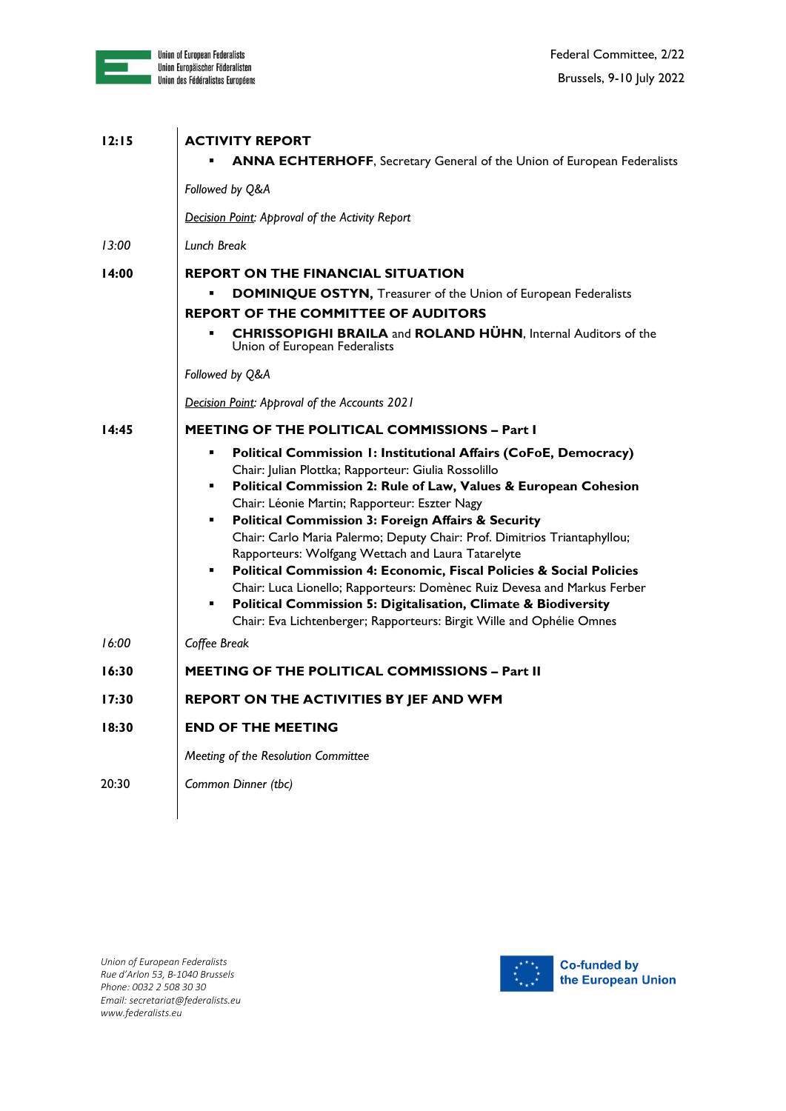

| 12:15  | <b>ACTIVITY REPORT</b><br><b>ANNA ECHTERHOFF, Secretary General of the Union of European Federalists</b>                                                                                                                                                                                                                                                                                                                                                                                                                                                                                                                                                                                                                                                                                                                              |
|--------|---------------------------------------------------------------------------------------------------------------------------------------------------------------------------------------------------------------------------------------------------------------------------------------------------------------------------------------------------------------------------------------------------------------------------------------------------------------------------------------------------------------------------------------------------------------------------------------------------------------------------------------------------------------------------------------------------------------------------------------------------------------------------------------------------------------------------------------|
|        | Followed by Q&A                                                                                                                                                                                                                                                                                                                                                                                                                                                                                                                                                                                                                                                                                                                                                                                                                       |
|        | Decision Point: Approval of the Activity Report                                                                                                                                                                                                                                                                                                                                                                                                                                                                                                                                                                                                                                                                                                                                                                                       |
| 13:00  | Lunch Break                                                                                                                                                                                                                                                                                                                                                                                                                                                                                                                                                                                                                                                                                                                                                                                                                           |
| 14:00  | <b>REPORT ON THE FINANCIAL SITUATION</b><br><b>DOMINIQUE OSTYN, Treasurer of the Union of European Federalists</b><br><b>REPORT OF THE COMMITTEE OF AUDITORS</b><br><b>CHRISSOPIGHI BRAILA and ROLAND HÜHN, Internal Auditors of the</b><br>Union of European Federalists<br>Followed by Q&A                                                                                                                                                                                                                                                                                                                                                                                                                                                                                                                                          |
|        | Decision Point: Approval of the Accounts 2021                                                                                                                                                                                                                                                                                                                                                                                                                                                                                                                                                                                                                                                                                                                                                                                         |
| l 4:45 | <b>MEETING OF THE POLITICAL COMMISSIONS - Part I</b><br>Political Commission 1: Institutional Affairs (CoFoE, Democracy)<br>٠<br>Chair: Julian Plottka; Rapporteur: Giulia Rossolillo<br>Political Commission 2: Rule of Law, Values & European Cohesion<br>Chair: Léonie Martin; Rapporteur: Eszter Nagy<br><b>Political Commission 3: Foreign Affairs &amp; Security</b><br>٠<br>Chair: Carlo Maria Palermo; Deputy Chair: Prof. Dimitrios Triantaphyllou;<br>Rapporteurs: Wolfgang Wettach and Laura Tatarelyte<br>Political Commission 4: Economic, Fiscal Policies & Social Policies<br>٠<br>Chair: Luca Lionello; Rapporteurs: Domènec Ruiz Devesa and Markus Ferber<br><b>Political Commission 5: Digitalisation, Climate &amp; Biodiversity</b><br>٠<br>Chair: Eva Lichtenberger; Rapporteurs: Birgit Wille and Ophélie Omnes |
| 16:00  | Coffee Break                                                                                                                                                                                                                                                                                                                                                                                                                                                                                                                                                                                                                                                                                                                                                                                                                          |
| 16:30  | <b>MEETING OF THE POLITICAL COMMISSIONS - Part II</b>                                                                                                                                                                                                                                                                                                                                                                                                                                                                                                                                                                                                                                                                                                                                                                                 |
| 17:30  | REPORT ON THE ACTIVITIES BY JEF AND WFM                                                                                                                                                                                                                                                                                                                                                                                                                                                                                                                                                                                                                                                                                                                                                                                               |
| 18:30  | <b>END OF THE MEETING</b>                                                                                                                                                                                                                                                                                                                                                                                                                                                                                                                                                                                                                                                                                                                                                                                                             |
|        | Meeting of the Resolution Committee                                                                                                                                                                                                                                                                                                                                                                                                                                                                                                                                                                                                                                                                                                                                                                                                   |
| 20:30  | Common Dinner (tbc)                                                                                                                                                                                                                                                                                                                                                                                                                                                                                                                                                                                                                                                                                                                                                                                                                   |